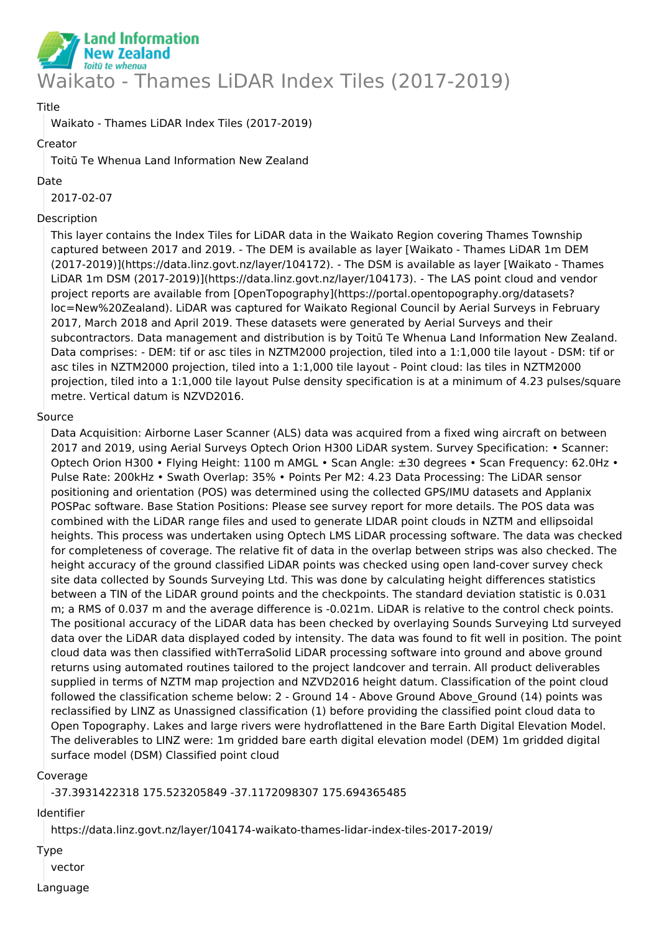

# Title

Waikato - Thames LiDAR Index Tiles (2017-2019)

## Creator

Toitū Te Whenua Land Information New Zealand

#### Date

2017-02-07

## Description

This layer contains the Index Tiles for LiDAR data in the Waikato Region covering Thames Township captured between 2017 and 2019. - The DEM is available as layer [Waikato - Thames LiDAR 1m DEM (2017-2019)](https://data.linz.govt.nz/layer/104172). - The DSM is available as layer [Waikato - Thames LiDAR 1m DSM (2017-2019)](https://data.linz.govt.nz/layer/104173). - The LAS point cloud and vendor project reports are available from [OpenTopography](https://portal.opentopography.org/datasets? loc=New%20Zealand). LiDAR was captured for Waikato Regional Council by Aerial Surveys in February 2017, March 2018 and April 2019. These datasets were generated by Aerial Surveys and their subcontractors. Data management and distribution is by Toitū Te Whenua Land Information New Zealand. Data comprises: - DEM: tif or asc tiles in NZTM2000 projection, tiled into a 1:1,000 tile layout - DSM: tif or asc tiles in NZTM2000 projection, tiled into a 1:1,000 tile layout - Point cloud: las tiles in NZTM2000 projection, tiled into a 1:1,000 tile layout Pulse density specification is at a minimum of 4.23 pulses/square metre. Vertical datum is NZVD2016.

# Source

Data Acquisition: Airborne Laser Scanner (ALS) data was acquired from a fixed wing aircraft on between 2017 and 2019, using Aerial Surveys Optech Orion H300 LiDAR system. Survey Specification: • Scanner: Optech Orion H300 • Flying Height: 1100 m AMGL • Scan Angle: ±30 degrees • Scan Frequency: 62.0Hz • Pulse Rate: 200kHz • Swath Overlap: 35% • Points Per M2: 4.23 Data Processing: The LiDAR sensor positioning and orientation (POS) was determined using the collected GPS/IMU datasets and Applanix POSPac software. Base Station Positions: Please see survey report for more details. The POS data was combined with the LiDAR range files and used to generate LIDAR point clouds in NZTM and ellipsoidal heights. This process was undertaken using Optech LMS LiDAR processing software. The data was checked for completeness of coverage. The relative fit of data in the overlap between strips was also checked. The height accuracy of the ground classified LiDAR points was checked using open land-cover survey check site data collected by Sounds Surveying Ltd. This was done by calculating height differences statistics between a TIN of the LiDAR ground points and the checkpoints. The standard deviation statistic is 0.031 m; a RMS of 0.037 m and the average difference is -0.021m. LiDAR is relative to the control check points. The positional accuracy of the LiDAR data has been checked by overlaying Sounds Surveying Ltd surveyed data over the LiDAR data displayed coded by intensity. The data was found to fit well in position. The point cloud data was then classified withTerraSolid LiDAR processing software into ground and above ground returns using automated routines tailored to the project landcover and terrain. All product deliverables supplied in terms of NZTM map projection and NZVD2016 height datum. Classification of the point cloud followed the classification scheme below: 2 - Ground 14 - Above Ground Above Ground (14) points was reclassified by LINZ as Unassigned classification (1) before providing the classified point cloud data to Open Topography. Lakes and large rivers were hydroflattened in the Bare Earth Digital Elevation Model. The deliverables to LINZ were: 1m gridded bare earth digital elevation model (DEM) 1m gridded digital surface model (DSM) Classified point cloud

#### Coverage

-37.3931422318 175.523205849 -37.1172098307 175.694365485

Identifier

https://data.linz.govt.nz/layer/104174-waikato-thames-lidar-index-tiles-2017-2019/

Type

vector

Language